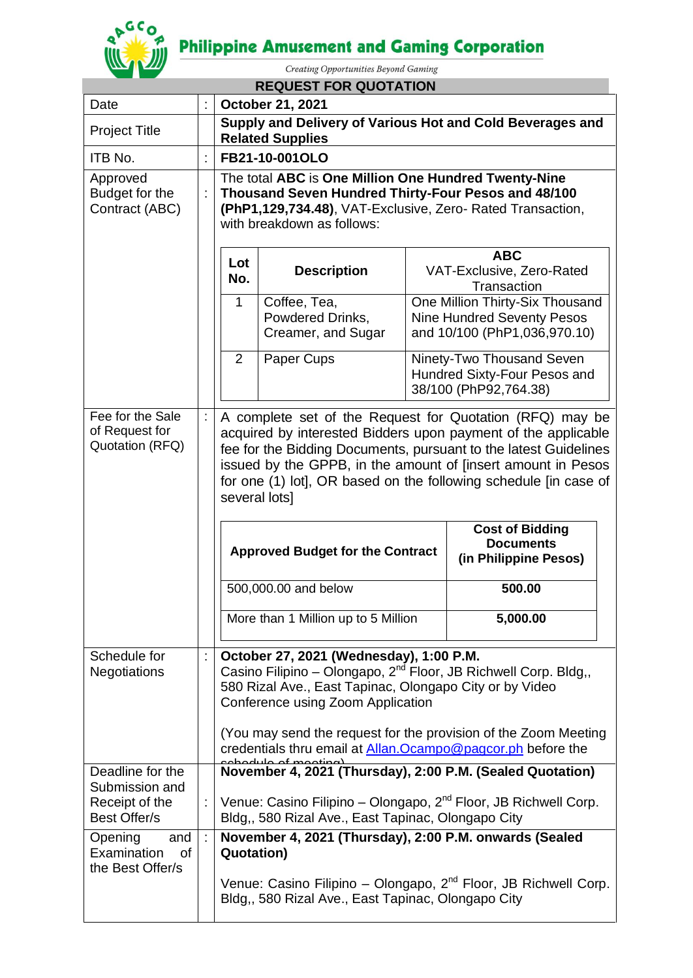# **Philippine Amusement and Gaming Corporation**



Creating Opportunities Beyond Gaming

|                                                         |   |                                                                                                                                                                                                                                                                                                                                                    | <b>REQUEST FOR QUOTATION</b>                                                                                 |                                                                                                      |                                                                                 |
|---------------------------------------------------------|---|----------------------------------------------------------------------------------------------------------------------------------------------------------------------------------------------------------------------------------------------------------------------------------------------------------------------------------------------------|--------------------------------------------------------------------------------------------------------------|------------------------------------------------------------------------------------------------------|---------------------------------------------------------------------------------|
| Date                                                    |   |                                                                                                                                                                                                                                                                                                                                                    | <b>October 21, 2021</b>                                                                                      |                                                                                                      |                                                                                 |
| <b>Project Title</b>                                    |   | Supply and Delivery of Various Hot and Cold Beverages and<br><b>Related Supplies</b>                                                                                                                                                                                                                                                               |                                                                                                              |                                                                                                      |                                                                                 |
| ITB No.                                                 |   |                                                                                                                                                                                                                                                                                                                                                    | FB21-10-001OLO                                                                                               |                                                                                                      |                                                                                 |
| Approved<br>Budget for the<br>Contract (ABC)            |   | The total ABC is One Million One Hundred Twenty-Nine<br>Thousand Seven Hundred Thirty-Four Pesos and 48/100<br>(PhP1,129,734.48), VAT-Exclusive, Zero- Rated Transaction,<br>with breakdown as follows:                                                                                                                                            |                                                                                                              |                                                                                                      |                                                                                 |
|                                                         |   | <b>ABC</b><br>Lot<br>VAT-Exclusive, Zero-Rated<br><b>Description</b><br>No.<br>Transaction                                                                                                                                                                                                                                                         |                                                                                                              |                                                                                                      |                                                                                 |
|                                                         |   | $\mathbf{1}$<br>Coffee, Tea,<br>Powdered Drinks,<br>Creamer, and Sugar                                                                                                                                                                                                                                                                             |                                                                                                              | One Million Thirty-Six Thousand<br><b>Nine Hundred Seventy Pesos</b><br>and 10/100 (PhP1,036,970.10) |                                                                                 |
|                                                         |   | $\overline{2}$                                                                                                                                                                                                                                                                                                                                     | Paper Cups                                                                                                   | Ninety-Two Thousand Seven<br>Hundred Sixty-Four Pesos and<br>38/100 (PhP92,764.38)                   |                                                                                 |
| Fee for the Sale<br>of Request for<br>Quotation (RFQ)   |   | A complete set of the Request for Quotation (RFQ) may be<br>acquired by interested Bidders upon payment of the applicable<br>fee for the Bidding Documents, pursuant to the latest Guidelines<br>issued by the GPPB, in the amount of [insert amount in Pesos<br>for one (1) lot], OR based on the following schedule [in case of<br>several lots] |                                                                                                              |                                                                                                      |                                                                                 |
|                                                         |   | <b>Cost of Bidding</b><br><b>Documents</b><br><b>Approved Budget for the Contract</b><br>(in Philippine Pesos)                                                                                                                                                                                                                                     |                                                                                                              |                                                                                                      |                                                                                 |
|                                                         |   |                                                                                                                                                                                                                                                                                                                                                    | 500,000.00 and below                                                                                         |                                                                                                      | 500.00                                                                          |
|                                                         |   |                                                                                                                                                                                                                                                                                                                                                    | More than 1 Million up to 5 Million                                                                          |                                                                                                      | 5,000.00                                                                        |
| Schedule for<br><b>Negotiations</b>                     |   | October 27, 2021 (Wednesday), 1:00 P.M.<br>Casino Filipino - Olongapo, 2 <sup>nd</sup> Floor, JB Richwell Corp. Bldg,,<br>580 Rizal Ave., East Tapinac, Olongapo City or by Video<br>Conference using Zoom Application<br>(You may send the request for the provision of the Zoom Meeting                                                          |                                                                                                              |                                                                                                      |                                                                                 |
|                                                         |   |                                                                                                                                                                                                                                                                                                                                                    | credentials thru email at Allan. Ocampo@pagcor.ph before the<br>لممتنعم ممكم                                 |                                                                                                      |                                                                                 |
| Deadline for the<br>Submission and                      |   |                                                                                                                                                                                                                                                                                                                                                    |                                                                                                              |                                                                                                      | November 4, 2021 (Thursday), 2:00 P.M. (Sealed Quotation)                       |
| Receipt of the<br>Best Offer/s                          |   |                                                                                                                                                                                                                                                                                                                                                    | Bldg,, 580 Rizal Ave., East Tapinac, Olongapo City                                                           |                                                                                                      | :   Venue: Casino Filipino – Olongapo, 2 <sup>nd</sup> Floor, JB Richwell Corp. |
| Opening<br>and<br>Examination<br>0f<br>the Best Offer/s | ÷ | <b>Quotation</b> )                                                                                                                                                                                                                                                                                                                                 | November 4, 2021 (Thursday), 2:00 P.M. onwards (Sealed<br>Bldg,, 580 Rizal Ave., East Tapinac, Olongapo City |                                                                                                      | Venue: Casino Filipino - Olongapo, 2 <sup>nd</sup> Floor, JB Richwell Corp.     |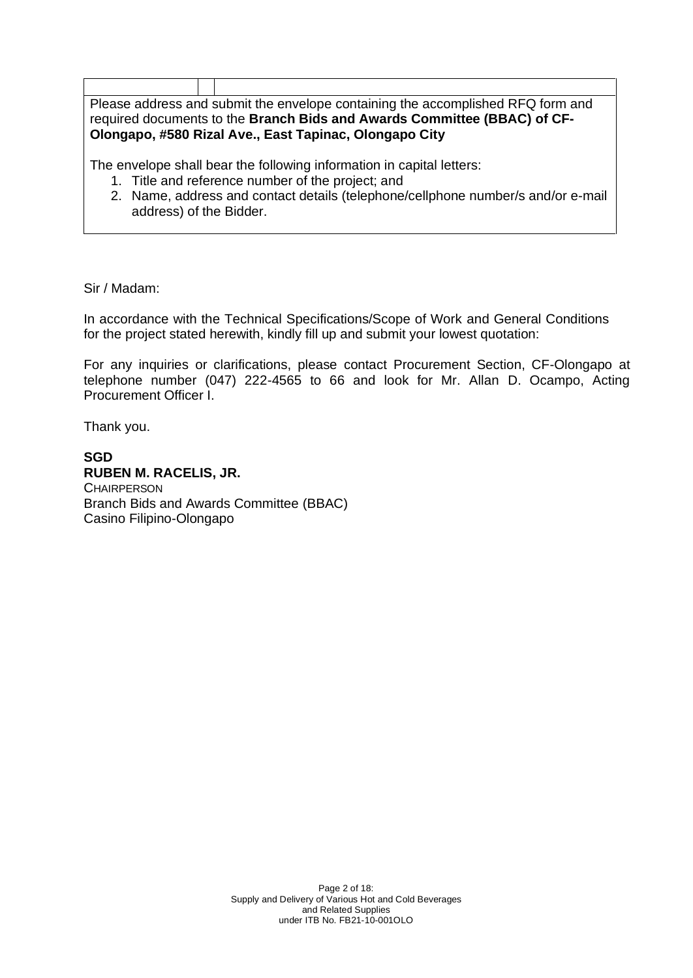| Please address and submit the envelope containing the accomplished RFQ form and |  |                                                                       |  |  |  |
|---------------------------------------------------------------------------------|--|-----------------------------------------------------------------------|--|--|--|
| required documents to the Branch Bids and Awards Committee (BBAC) of CF-        |  |                                                                       |  |  |  |
| Olongapo, #580 Rizal Ave., East Tapinac, Olongapo City                          |  |                                                                       |  |  |  |
|                                                                                 |  |                                                                       |  |  |  |
|                                                                                 |  | The envelope shall bear the following information in capital letters: |  |  |  |
|                                                                                 |  | 1. Title and reference number of the project; and                     |  |  |  |

2. Name, address and contact details (telephone/cellphone number/s and/or e-mail address) of the Bidder.

#### Sir / Madam:

In accordance with the Technical Specifications/Scope of Work and General Conditions for the project stated herewith, kindly fill up and submit your lowest quotation:

For any inquiries or clarifications, please contact Procurement Section, CF-Olongapo at telephone number (047) 222-4565 to 66 and look for Mr. Allan D. Ocampo, Acting Procurement Officer I.

Thank you.

#### **SGD RUBEN M. RACELIS, JR.**

**CHAIRPERSON** Branch Bids and Awards Committee (BBAC) Casino Filipino-Olongapo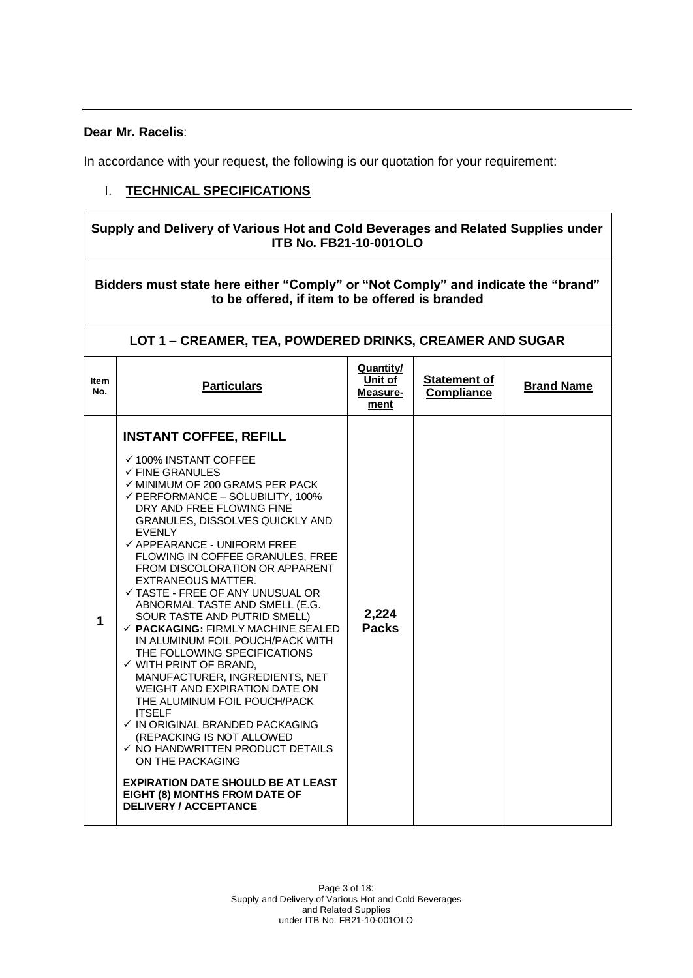#### **Dear Mr. Racelis**:

 $\Gamma$ 

In accordance with your request, the following is our quotation for your requirement:

٦

#### I. **TECHNICAL SPECIFICATIONS**

|             | Supply and Delivery of Various Hot and Cold Beverages and Related Supplies under<br><b>ITB No. FB21-10-001OLO</b>                                                                                                                                                                                                                                                                                                                                                                                                                                                                                                                                                                                                                                                                                                                                                                                                                                                                                                                                    |                                                 |                                          |                   |  |
|-------------|------------------------------------------------------------------------------------------------------------------------------------------------------------------------------------------------------------------------------------------------------------------------------------------------------------------------------------------------------------------------------------------------------------------------------------------------------------------------------------------------------------------------------------------------------------------------------------------------------------------------------------------------------------------------------------------------------------------------------------------------------------------------------------------------------------------------------------------------------------------------------------------------------------------------------------------------------------------------------------------------------------------------------------------------------|-------------------------------------------------|------------------------------------------|-------------------|--|
|             | Bidders must state here either "Comply" or "Not Comply" and indicate the "brand"<br>to be offered, if item to be offered is branded                                                                                                                                                                                                                                                                                                                                                                                                                                                                                                                                                                                                                                                                                                                                                                                                                                                                                                                  |                                                 |                                          |                   |  |
|             | LOT 1 - CREAMER, TEA, POWDERED DRINKS, CREAMER AND SUGAR                                                                                                                                                                                                                                                                                                                                                                                                                                                                                                                                                                                                                                                                                                                                                                                                                                                                                                                                                                                             |                                                 |                                          |                   |  |
| ltem<br>No. | <b>Particulars</b>                                                                                                                                                                                                                                                                                                                                                                                                                                                                                                                                                                                                                                                                                                                                                                                                                                                                                                                                                                                                                                   | <b>Quantity/</b><br>Unit of<br>Measure-<br>ment | <b>Statement of</b><br><b>Compliance</b> | <b>Brand Name</b> |  |
| 1           | <b>INSTANT COFFEE, REFILL</b><br>✔ 100% INSTANT COFFEE<br>$\checkmark$ FINE GRANULES<br>$\checkmark$ MINIMUM OF 200 GRAMS PER PACK<br>$\checkmark$ PERFORMANCE - SOLUBILITY, 100%<br>DRY AND FREE FLOWING FINE<br>GRANULES, DISSOLVES QUICKLY AND<br><b>EVENLY</b><br>✓ APPEARANCE - UNIFORM FREE<br>FLOWING IN COFFEE GRANULES, FREE<br>FROM DISCOLORATION OR APPARENT<br><b>EXTRANEOUS MATTER.</b><br>$\checkmark$ TASTE - FREE OF ANY UNUSUAL OR<br>ABNORMAL TASTE AND SMELL (E.G.<br>SOUR TASTE AND PUTRID SMELL)<br>$\checkmark$ PACKAGING: FIRMLY MACHINE SEALED<br>IN ALUMINUM FOIL POUCH/PACK WITH<br>THE FOLLOWING SPECIFICATIONS<br>$\checkmark$ WITH PRINT OF BRAND,<br>MANUFACTURER, INGREDIENTS, NET<br>WEIGHT AND EXPIRATION DATE ON<br>THE ALUMINUM FOIL POUCH/PACK<br><b>ITSELF</b><br>√ IN ORIGINAL BRANDED PACKAGING<br>(REPACKING IS NOT ALLOWED<br>$\checkmark$ NO HANDWRITTEN PRODUCT DETAILS<br>ON THE PACKAGING<br><b>EXPIRATION DATE SHOULD BE AT LEAST</b><br>EIGHT (8) MONTHS FROM DATE OF<br><b>DELIVERY / ACCEPTANCE</b> | 2,224<br><b>Packs</b>                           |                                          |                   |  |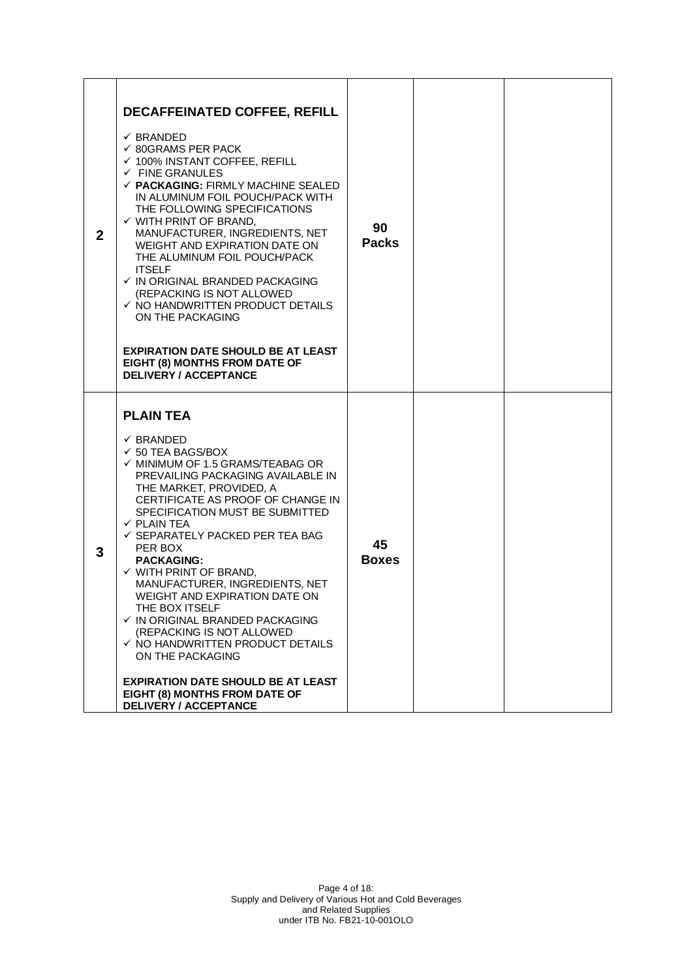| $\mathbf{2}$ | <b>DECAFFEINATED COFFEE, REFILL</b><br>$\checkmark$ BRANDED<br>$\checkmark$ 80GRAMS PER PACK<br>$\checkmark$ 100% INSTANT COFFEE, REFILL<br>$\checkmark$ FINE GRANULES<br>$\checkmark$ PACKAGING: FIRMLY MACHINE SEALED<br>IN ALUMINUM FOIL POUCH/PACK WITH<br>THE FOLLOWING SPECIFICATIONS<br>$\checkmark$ WITH PRINT OF BRAND,<br>MANUFACTURER, INGREDIENTS, NET<br>WEIGHT AND EXPIRATION DATE ON<br>THE ALUMINUM FOIL POUCH/PACK<br><b>ITSELF</b><br>$\checkmark$ IN ORIGINAL BRANDED PACKAGING<br>(REPACKING IS NOT ALLOWED<br>$\checkmark$ NO HANDWRITTEN PRODUCT DETAILS<br>ON THE PACKAGING<br><b>EXPIRATION DATE SHOULD BE AT LEAST</b><br>EIGHT (8) MONTHS FROM DATE OF<br><b>DELIVERY / ACCEPTANCE</b>                        | 90<br><b>Packs</b> |  |
|--------------|-----------------------------------------------------------------------------------------------------------------------------------------------------------------------------------------------------------------------------------------------------------------------------------------------------------------------------------------------------------------------------------------------------------------------------------------------------------------------------------------------------------------------------------------------------------------------------------------------------------------------------------------------------------------------------------------------------------------------------------------|--------------------|--|
| 3            | <b>PLAIN TEA</b><br>$\checkmark$ BRANDED<br>$\checkmark$ 50 TEA BAGS/BOX<br>$\checkmark$ MINIMUM OF 1.5 GRAMS/TEABAG OR<br>PREVAILING PACKAGING AVAILABLE IN<br>THE MARKET, PROVIDED, A<br>CERTIFICATE AS PROOF OF CHANGE IN<br>SPECIFICATION MUST BE SUBMITTED<br>$\checkmark$ PLAIN TEA<br>✓ SEPARATELY PACKED PER TEA BAG<br>PER BOX<br><b>PACKAGING:</b><br>$\checkmark$ WITH PRINT OF BRAND,<br>MANUFACTURER, INGREDIENTS, NET<br>WEIGHT AND EXPIRATION DATE ON<br>THE BOX ITSELF<br>✓ IN ORIGINAL BRANDED PACKAGING<br>(REPACKING IS NOT ALLOWED<br>$\checkmark$ NO HANDWRITTEN PRODUCT DETAILS<br>ON THE PACKAGING<br><b>EXPIRATION DATE SHOULD BE AT LEAST</b><br>EIGHT (8) MONTHS FROM DATE OF<br><b>DELIVERY / ACCEPTANCE</b> | 45<br><b>Boxes</b> |  |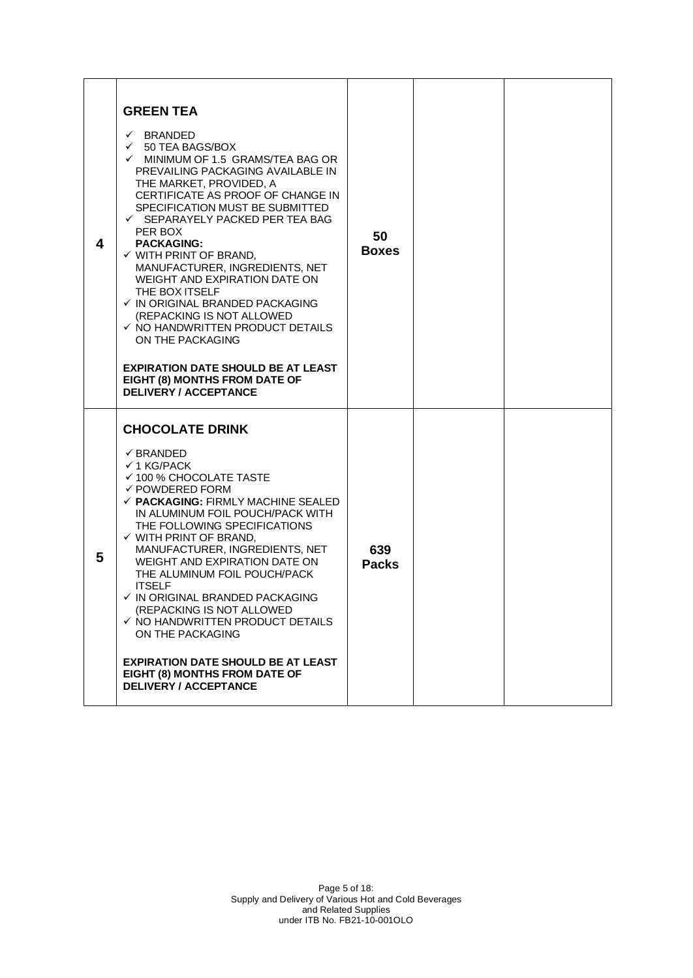| 4 | <b>GREEN TEA</b><br>$\checkmark$ BRANDED<br>$\checkmark$ 50 TEA BAGS/BOX<br>$\checkmark$ MINIMUM OF 1.5 GRAMS/TEA BAG OR<br>PREVAILING PACKAGING AVAILABLE IN<br>THE MARKET, PROVIDED, A<br>CERTIFICATE AS PROOF OF CHANGE IN<br>SPECIFICATION MUST BE SUBMITTED<br>✓ SEPARAYELY PACKED PER TEA BAG<br>PER BOX<br><b>PACKAGING:</b><br>$\checkmark$ WITH PRINT OF BRAND,<br>MANUFACTURER, INGREDIENTS, NET<br>WEIGHT AND EXPIRATION DATE ON<br>THE BOX ITSELF<br>√ IN ORIGINAL BRANDED PACKAGING<br>(REPACKING IS NOT ALLOWED<br>$\checkmark$ NO HANDWRITTEN PRODUCT DETAILS<br>ON THE PACKAGING<br><b>EXPIRATION DATE SHOULD BE AT LEAST</b><br>EIGHT (8) MONTHS FROM DATE OF<br><b>DELIVERY / ACCEPTANCE</b> | 50<br><b>Boxes</b>  |  |
|---|----------------------------------------------------------------------------------------------------------------------------------------------------------------------------------------------------------------------------------------------------------------------------------------------------------------------------------------------------------------------------------------------------------------------------------------------------------------------------------------------------------------------------------------------------------------------------------------------------------------------------------------------------------------------------------------------------------------|---------------------|--|
| 5 | <b>CHOCOLATE DRINK</b><br>$\checkmark$ BRANDED<br>$\checkmark$ 1 KG/PACK<br>✔ 100 % CHOCOLATE TASTE<br>$\checkmark$ POWDERED FORM<br>$\checkmark$ PACKAGING: FIRMLY MACHINE SEALED<br>IN ALUMINUM FOIL POUCH/PACK WITH<br>THE FOLLOWING SPECIFICATIONS<br>$\checkmark$ WITH PRINT OF BRAND.<br>MANUFACTURER, INGREDIENTS, NET<br>WEIGHT AND EXPIRATION DATE ON<br>THE ALUMINUM FOIL POUCH/PACK<br><b>ITSELF</b><br>✓ IN ORIGINAL BRANDED PACKAGING.<br>(REPACKING IS NOT ALLOWED<br>$\checkmark$ NO HANDWRITTEN PRODUCT DETAILS<br>ON THE PACKAGING<br><b>EXPIRATION DATE SHOULD BE AT LEAST</b><br>EIGHT (8) MONTHS FROM DATE OF<br><b>DELIVERY / ACCEPTANCE</b>                                              | 639<br><b>Packs</b> |  |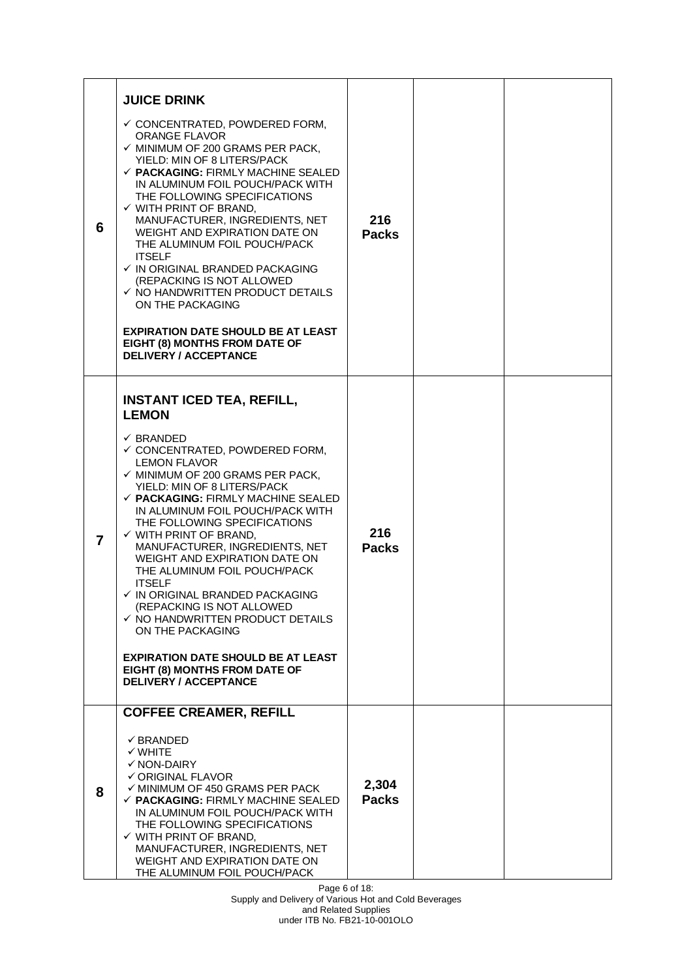| 6 | <b>JUICE DRINK</b><br>$\checkmark$ CONCENTRATED, POWDERED FORM,<br><b>ORANGE FLAVOR</b><br>$\checkmark$ MINIMUM OF 200 GRAMS PER PACK,<br>YIELD: MIN OF 8 LITERS/PACK<br>$\checkmark$ PACKAGING: FIRMLY MACHINE SEALED<br>IN ALUMINUM FOIL POUCH/PACK WITH<br>THE FOLLOWING SPECIFICATIONS<br>$\checkmark$ WITH PRINT OF BRAND,<br>MANUFACTURER, INGREDIENTS, NET<br>WEIGHT AND EXPIRATION DATE ON<br>THE ALUMINUM FOIL POUCH/PACK<br><b>ITSELF</b><br>$\checkmark$ IN ORIGINAL BRANDED PACKAGING<br>(REPACKING IS NOT ALLOWED<br>$\checkmark$ NO HANDWRITTEN PRODUCT DETAILS<br>ON THE PACKAGING<br><b>EXPIRATION DATE SHOULD BE AT LEAST</b><br>EIGHT (8) MONTHS FROM DATE OF                                                                                                           | 216<br><b>Packs</b>   |  |
|---|-------------------------------------------------------------------------------------------------------------------------------------------------------------------------------------------------------------------------------------------------------------------------------------------------------------------------------------------------------------------------------------------------------------------------------------------------------------------------------------------------------------------------------------------------------------------------------------------------------------------------------------------------------------------------------------------------------------------------------------------------------------------------------------------|-----------------------|--|
| 7 | <b>DELIVERY / ACCEPTANCE</b><br><b>INSTANT ICED TEA, REFILL,</b><br><b>LEMON</b><br>✓ BRANDED<br>$\checkmark$ CONCENTRATED, POWDERED FORM,<br><b>LEMON FLAVOR</b><br>$\checkmark$ MINIMUM OF 200 GRAMS PER PACK,<br>YIELD: MIN OF 8 LITERS/PACK<br>$\checkmark$ PACKAGING: FIRMLY MACHINE SEALED<br>IN ALUMINUM FOIL POUCH/PACK WITH<br>THE FOLLOWING SPECIFICATIONS<br>$\checkmark$ WITH PRINT OF BRAND.<br>MANUFACTURER, INGREDIENTS, NET<br>WEIGHT AND EXPIRATION DATE ON<br>THE ALUMINUM FOIL POUCH/PACK<br><b>ITSELF</b><br>$\checkmark$ IN ORIGINAL BRANDED PACKAGING<br>(REPACKING IS NOT ALLOWED<br>$\checkmark$ NO HANDWRITTEN PRODUCT DETAILS<br>ON THE PACKAGING<br><b>EXPIRATION DATE SHOULD BE AT LEAST</b><br>EIGHT (8) MONTHS FROM DATE OF<br><b>DELIVERY / ACCEPTANCE</b> | 216<br><b>Packs</b>   |  |
| 8 | <b>COFFEE CREAMER, REFILL</b><br>$\checkmark$ BRANDED<br>$\checkmark$ WHITE<br>$\checkmark$ NON-DAIRY<br>$\checkmark$ ORIGINAL FLAVOR<br>$\checkmark$ MINIMUM OF 450 GRAMS PER PACK<br>$\checkmark$ PACKAGING: FIRMLY MACHINE SEALED<br>IN ALUMINUM FOIL POUCH/PACK WITH<br>THE FOLLOWING SPECIFICATIONS<br>$\checkmark$ WITH PRINT OF BRAND,<br>MANUFACTURER, INGREDIENTS, NET<br>WEIGHT AND EXPIRATION DATE ON<br>THE ALUMINUM FOIL POUCH/PACK                                                                                                                                                                                                                                                                                                                                          | 2,304<br><b>Packs</b> |  |

Page 6 of 18: Supply and Delivery of Various Hot and Cold Beverages and Related Supplies under ITB No. FB21-10-001OLO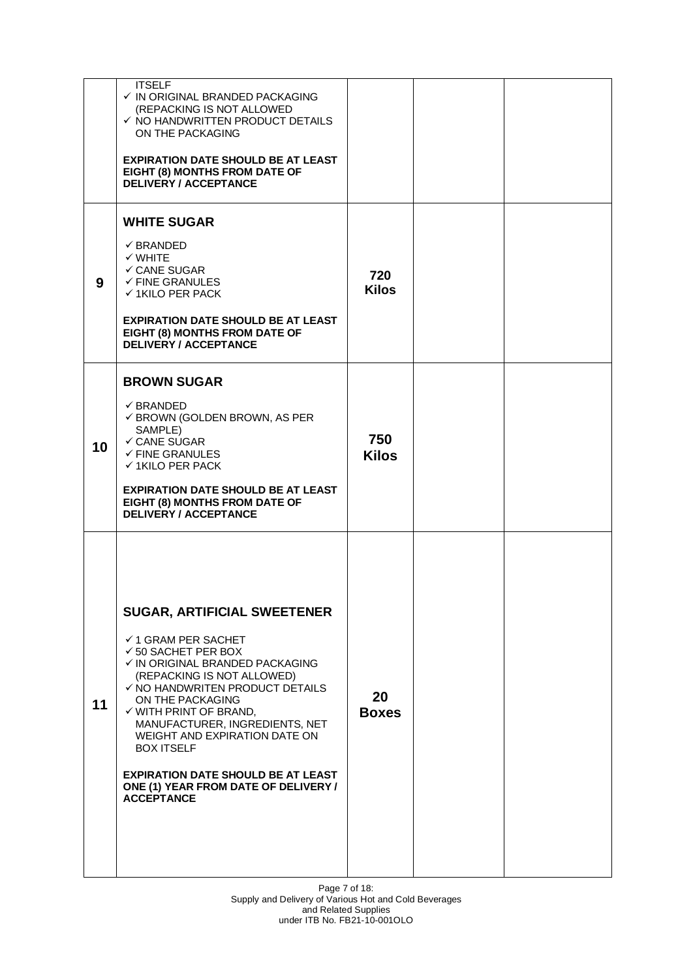|    | <b>ITSELF</b><br>$\checkmark$ IN ORIGINAL BRANDED PACKAGING<br>(REPACKING IS NOT ALLOWED<br>$\checkmark$ NO HANDWRITTEN PRODUCT DETAILS<br>ON THE PACKAGING<br><b>EXPIRATION DATE SHOULD BE AT LEAST</b><br>EIGHT (8) MONTHS FROM DATE OF<br><b>DELIVERY / ACCEPTANCE</b><br><b>WHITE SUGAR</b>                                                                                                                                                                       |                     |  |
|----|-----------------------------------------------------------------------------------------------------------------------------------------------------------------------------------------------------------------------------------------------------------------------------------------------------------------------------------------------------------------------------------------------------------------------------------------------------------------------|---------------------|--|
| 9  | $\checkmark$ BRANDED<br>$\checkmark$ WHITE<br>✓ CANE SUGAR<br>$\checkmark$ FINE GRANULES<br>$\checkmark$ 1KILO PER PACK<br><b>EXPIRATION DATE SHOULD BE AT LEAST</b><br>EIGHT (8) MONTHS FROM DATE OF<br><b>DELIVERY / ACCEPTANCE</b>                                                                                                                                                                                                                                 | 720<br><b>Kilos</b> |  |
| 10 | <b>BROWN SUGAR</b><br>$\checkmark$ BRANDED<br>$\checkmark$ BROWN (GOLDEN BROWN, AS PER<br>SAMPLE)<br>✓ CANE SUGAR<br>$\checkmark$ FINE GRANULES<br>$\checkmark$ 1KILO PER PACK<br><b>EXPIRATION DATE SHOULD BE AT LEAST</b><br>EIGHT (8) MONTHS FROM DATE OF<br><b>DELIVERY / ACCEPTANCE</b>                                                                                                                                                                          | 750<br><b>Kilos</b> |  |
| 11 | <b>SUGAR, ARTIFICIAL SWEETENER</b><br>$\checkmark$ 1 GRAM PER SACHET<br>$\checkmark$ 50 SACHET PER BOX<br>√ IN ORIGINAL BRANDED PACKAGING<br>(REPACKING IS NOT ALLOWED)<br>✓ NO HANDWRITEN PRODUCT DETAILS<br>ON THE PACKAGING<br>$\checkmark$ WITH PRINT OF BRAND,<br>MANUFACTURER, INGREDIENTS, NET<br>WEIGHT AND EXPIRATION DATE ON<br><b>BOX ITSELF</b><br><b>EXPIRATION DATE SHOULD BE AT LEAST</b><br>ONE (1) YEAR FROM DATE OF DELIVERY /<br><b>ACCEPTANCE</b> | 20<br><b>Boxes</b>  |  |

Page 7 of 18: Supply and Delivery of Various Hot and Cold Beverages and Related Supplies under ITB No. FB21-10-001OLO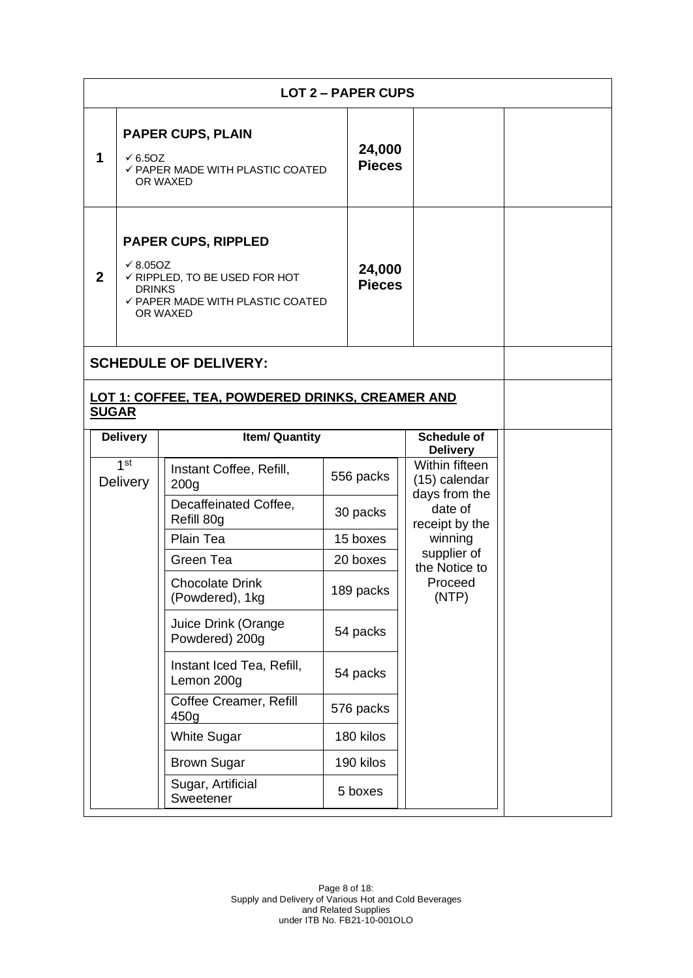|              | <b>LOT 2 - PAPER CUPS</b>                                                                                                                       |                                                                                                            |  |                         |                                                                                                           |  |
|--------------|-------------------------------------------------------------------------------------------------------------------------------------------------|------------------------------------------------------------------------------------------------------------|--|-------------------------|-----------------------------------------------------------------------------------------------------------|--|
| 1            | $\times$ 6.50Z                                                                                                                                  | <b>PAPER CUPS, PLAIN</b><br>✓ PAPER MADE WITH PLASTIC COATED<br>OR WAXED                                   |  | 24,000<br><b>Pieces</b> |                                                                                                           |  |
| $\mathbf{2}$ | <b>PAPER CUPS, RIPPLED</b><br>$\sqrt{8.050Z}$<br>√ RIPPLED, TO BE USED FOR HOT<br><b>DRINKS</b><br>✓ PAPER MADE WITH PLASTIC COATED<br>OR WAXED |                                                                                                            |  | 24,000<br><b>Pieces</b> |                                                                                                           |  |
|              |                                                                                                                                                 | <b>SCHEDULE OF DELIVERY:</b>                                                                               |  |                         |                                                                                                           |  |
| <b>SUGAR</b> |                                                                                                                                                 | LOT 1: COFFEE, TEA, POWDERED DRINKS, CREAMER AND                                                           |  |                         |                                                                                                           |  |
|              | <b>Delivery</b>                                                                                                                                 | <b>Item/ Quantity</b>                                                                                      |  |                         | <b>Schedule of</b><br><b>Delivery</b>                                                                     |  |
|              | 1 <sup>st</sup><br><b>Delivery</b>                                                                                                              | Instant Coffee, Refill,<br>200 <sub>g</sub>                                                                |  | 556 packs               | Within fifteen<br>(15) calendar                                                                           |  |
|              |                                                                                                                                                 | Decaffeinated Coffee,<br>Refill 80g<br>Plain Tea<br>Green Tea<br><b>Chocolate Drink</b><br>(Powdered), 1kg |  | 30 packs                | days from the<br>date of<br>receipt by the<br>winning<br>supplier of<br>the Notice to<br>Proceed<br>(NTP) |  |
|              |                                                                                                                                                 |                                                                                                            |  | 15 boxes                |                                                                                                           |  |
|              |                                                                                                                                                 |                                                                                                            |  | 20 boxes                |                                                                                                           |  |
|              |                                                                                                                                                 |                                                                                                            |  | 189 packs               |                                                                                                           |  |
|              |                                                                                                                                                 | Juice Drink (Orange<br>Powdered) 200g                                                                      |  | 54 packs                |                                                                                                           |  |
|              |                                                                                                                                                 | Instant Iced Tea, Refill,<br>Lemon 200g                                                                    |  | 54 packs                |                                                                                                           |  |
|              |                                                                                                                                                 | Coffee Creamer, Refill<br>450g                                                                             |  | 576 packs               |                                                                                                           |  |
|              |                                                                                                                                                 | <b>White Sugar</b>                                                                                         |  | 180 kilos               |                                                                                                           |  |
|              |                                                                                                                                                 | <b>Brown Sugar</b>                                                                                         |  | 190 kilos               |                                                                                                           |  |
|              |                                                                                                                                                 | Sugar, Artificial<br>Sweetener                                                                             |  | 5 boxes                 |                                                                                                           |  |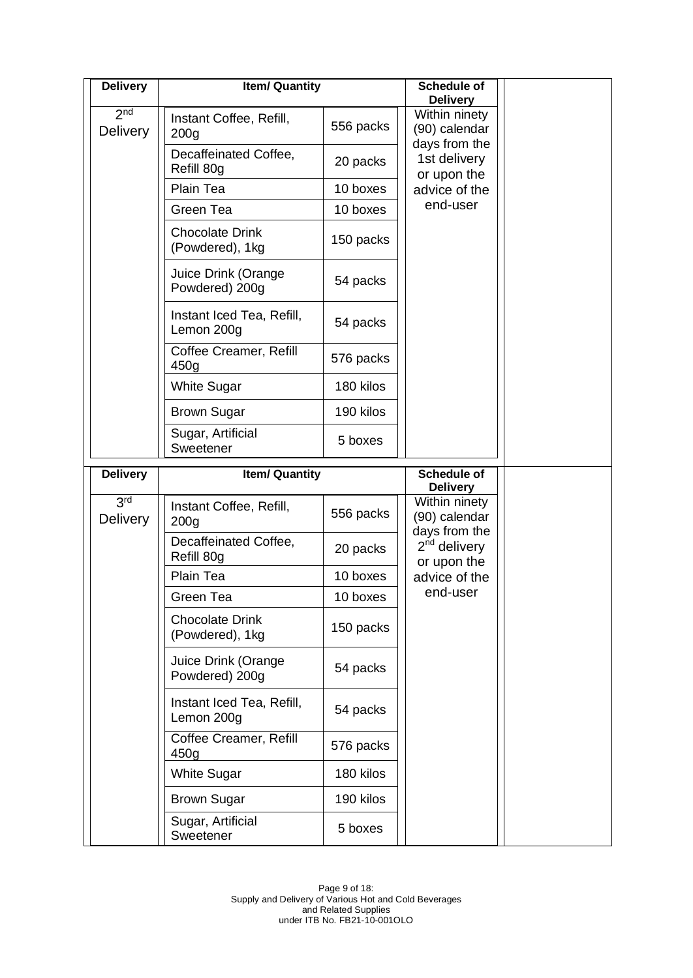| <b>Delivery</b>                    | <b>Item/ Quantity</b>                       |           | <b>Schedule of</b><br><b>Delivery</b>           |  |
|------------------------------------|---------------------------------------------|-----------|-------------------------------------------------|--|
| 2 <sub>nd</sub><br><b>Delivery</b> | Instant Coffee, Refill,<br>200 <sub>q</sub> | 556 packs | Within ninety<br>(90) calendar                  |  |
|                                    | Decaffeinated Coffee,<br>Refill 80g         | 20 packs  | days from the<br>1st delivery<br>or upon the    |  |
|                                    | Plain Tea                                   | 10 boxes  | advice of the                                   |  |
|                                    | Green Tea                                   | 10 boxes  | end-user                                        |  |
|                                    | <b>Chocolate Drink</b><br>(Powdered), 1kg   | 150 packs |                                                 |  |
|                                    | Juice Drink (Orange<br>Powdered) 200g       | 54 packs  |                                                 |  |
|                                    | Instant Iced Tea, Refill,<br>Lemon 200g     | 54 packs  |                                                 |  |
|                                    | Coffee Creamer, Refill<br>450g              | 576 packs |                                                 |  |
|                                    | <b>White Sugar</b>                          | 180 kilos |                                                 |  |
|                                    | <b>Brown Sugar</b>                          | 190 kilos |                                                 |  |
|                                    | Sugar, Artificial<br>Sweetener              | 5 boxes   |                                                 |  |
| <b>Delivery</b>                    | <b>Item/ Quantity</b>                       |           | <b>Schedule of</b><br><b>Delivery</b>           |  |
| 3rd<br><b>Delivery</b>             | Instant Coffee, Refill,<br>200 <sub>g</sub> | 556 packs | Within ninety<br>(90) calendar<br>days from the |  |
|                                    |                                             |           |                                                 |  |
|                                    | Decaffeinated Coffee,<br>Refill 80g         | 20 packs  | $2nd$ delivery                                  |  |
|                                    | Plain Tea                                   | 10 boxes  | or upon the<br>advice of the                    |  |
|                                    | Green Tea                                   | 10 boxes  | end-user                                        |  |
|                                    | <b>Chocolate Drink</b><br>(Powdered), 1kg   | 150 packs |                                                 |  |
|                                    | Juice Drink (Orange<br>Powdered) 200g       | 54 packs  |                                                 |  |
|                                    | Instant Iced Tea, Refill,<br>Lemon 200g     | 54 packs  |                                                 |  |
|                                    | Coffee Creamer, Refill<br>450g              | 576 packs |                                                 |  |
|                                    | <b>White Sugar</b>                          | 180 kilos |                                                 |  |
|                                    | <b>Brown Sugar</b>                          | 190 kilos |                                                 |  |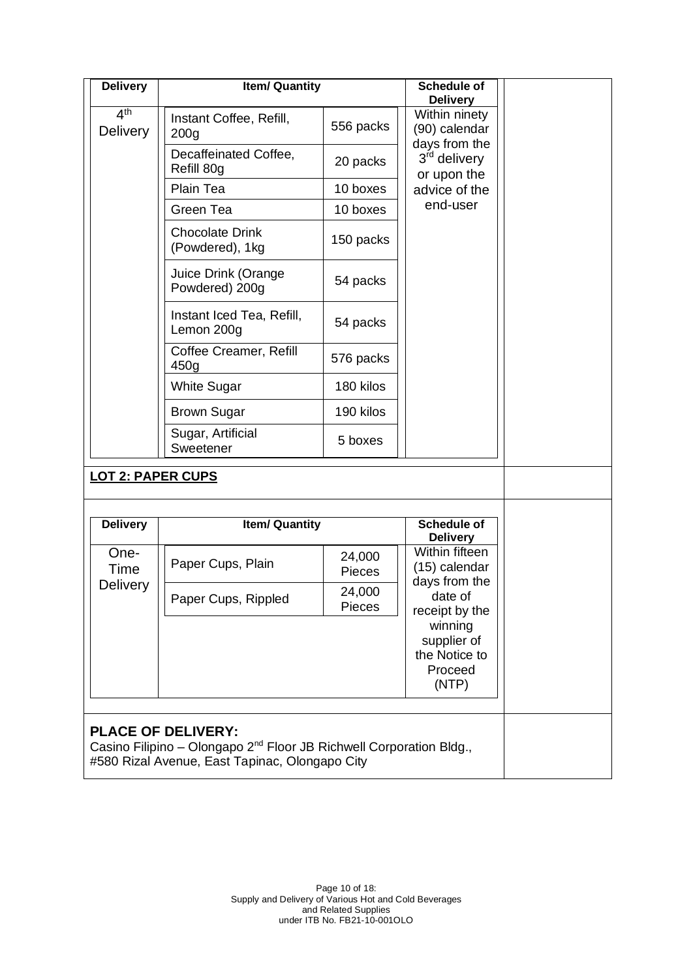| <b>Delivery</b>                                                                                                                                                | <b>Item/ Quantity</b>                       |                         | <b>Schedule of</b><br><b>Delivery</b>                       |  |
|----------------------------------------------------------------------------------------------------------------------------------------------------------------|---------------------------------------------|-------------------------|-------------------------------------------------------------|--|
| 4 <sup>th</sup><br>Delivery                                                                                                                                    | Instant Coffee, Refill,<br>200 <sub>q</sub> | 556 packs               | Within ninety<br>(90) calendar                              |  |
|                                                                                                                                                                | Decaffeinated Coffee,<br>Refill 80g         | 20 packs                | days from the<br>3 <sup>rd</sup> delivery<br>or upon the    |  |
|                                                                                                                                                                | Plain Tea                                   | 10 boxes                | advice of the                                               |  |
|                                                                                                                                                                | Green Tea                                   | 10 boxes                | end-user                                                    |  |
|                                                                                                                                                                | <b>Chocolate Drink</b><br>(Powdered), 1kg   | 150 packs               |                                                             |  |
|                                                                                                                                                                | Juice Drink (Orange<br>Powdered) 200g       | 54 packs                |                                                             |  |
|                                                                                                                                                                | Instant Iced Tea, Refill,<br>Lemon 200g     | 54 packs                |                                                             |  |
|                                                                                                                                                                | Coffee Creamer, Refill<br>450g              | 576 packs               |                                                             |  |
|                                                                                                                                                                | <b>White Sugar</b>                          | 180 kilos               |                                                             |  |
|                                                                                                                                                                | <b>Brown Sugar</b>                          | 190 kilos               |                                                             |  |
|                                                                                                                                                                | Sugar, Artificial<br>Sweetener              | 5 boxes                 |                                                             |  |
| <b>LOT 2: PAPER CUPS</b>                                                                                                                                       |                                             |                         |                                                             |  |
| <b>Delivery</b>                                                                                                                                                | <b>Item/ Quantity</b>                       |                         | <b>Schedule of</b>                                          |  |
|                                                                                                                                                                |                                             |                         | <b>Delivery</b>                                             |  |
| One-<br>Time                                                                                                                                                   | Paper Cups, Plain                           | 24,000<br><b>Pieces</b> | Within fifteen<br>(15) calendar<br>days from the            |  |
| <b>Delivery</b>                                                                                                                                                | Paper Cups, Rippled                         | 24,000<br><b>Pieces</b> | date of<br>receipt by the                                   |  |
|                                                                                                                                                                |                                             |                         | winning<br>supplier of<br>the Notice to<br>Proceed<br>(NTP) |  |
| <b>PLACE OF DELIVERY:</b><br>Casino Filipino - Olongapo 2 <sup>nd</sup> Floor JB Richwell Corporation Bldg.,<br>#580 Rizal Avenue, East Tapinac, Olongapo City |                                             |                         |                                                             |  |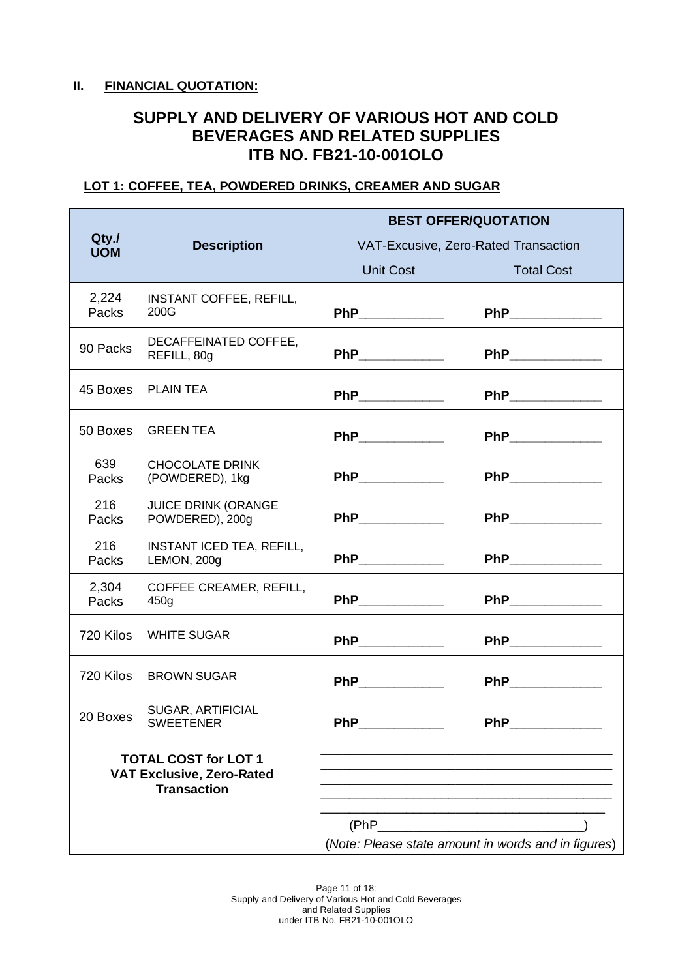#### **II. FINANCIAL QUOTATION:**

# **SUPPLY AND DELIVERY OF VARIOUS HOT AND COLD BEVERAGES AND RELATED SUPPLIES ITB NO. FB21-10-001OLO**

#### **LOT 1: COFFEE, TEA, POWDERED DRINKS, CREAMER AND SUGAR**

|                                                                                       |                                               | <b>BEST OFFER/QUOTATION</b> |                                                     |  |  |
|---------------------------------------------------------------------------------------|-----------------------------------------------|-----------------------------|-----------------------------------------------------|--|--|
| Qty.<br><b>UOM</b>                                                                    | <b>Description</b>                            |                             | VAT-Excusive, Zero-Rated Transaction                |  |  |
|                                                                                       |                                               | <b>Unit Cost</b>            | <b>Total Cost</b>                                   |  |  |
| 2,224<br>Packs                                                                        | <b>INSTANT COFFEE, REFILL,</b><br>200G        | PhP____________             | PhP __________                                      |  |  |
| 90 Packs                                                                              | DECAFFEINATED COFFEE,<br>REFILL, 80g          | PhP_____________            | PhP____________                                     |  |  |
| 45 Boxes                                                                              | PLAIN TEA                                     | PhP______________           | PhP_____________                                    |  |  |
| 50 Boxes                                                                              | <b>GREEN TEA</b>                              | PhP____________             | PhP_____________                                    |  |  |
| 639<br>Packs                                                                          | <b>CHOCOLATE DRINK</b><br>(POWDERED), 1kg     | PhP_____________            | PhP_____________                                    |  |  |
| 216<br>Packs                                                                          | <b>JUICE DRINK (ORANGE</b><br>POWDERED), 200g | PhP____________             | PhP____________                                     |  |  |
| 216<br>Packs                                                                          | INSTANT ICED TEA, REFILL,<br>LEMON, 200g      | PhP_____________            | PhP____________                                     |  |  |
| 2,304<br>Packs                                                                        | COFFEE CREAMER, REFILL,<br>450g               | PhP____________             | PhP_____________                                    |  |  |
| 720 Kilos                                                                             | <b>WHITE SUGAR</b>                            | PhP______________           | PhP____________                                     |  |  |
| 720 Kilos                                                                             | <b>BROWN SUGAR</b>                            | PhP _____________           | PhP ____________                                    |  |  |
| 20 Boxes                                                                              | <b>SUGAR, ARTIFICIAL</b><br><b>SWEETENER</b>  | <b>PhP</b>                  | <b>PhP</b>                                          |  |  |
| <b>TOTAL COST for LOT 1</b><br><b>VAT Exclusive, Zero-Rated</b><br><b>Transaction</b> |                                               |                             |                                                     |  |  |
|                                                                                       |                                               | (PhP)                       | (Note: Please state amount in words and in figures) |  |  |

Page 11 of 18: Supply and Delivery of Various Hot and Cold Beverages and Related Supplies under ITB No. FB21-10-001OLO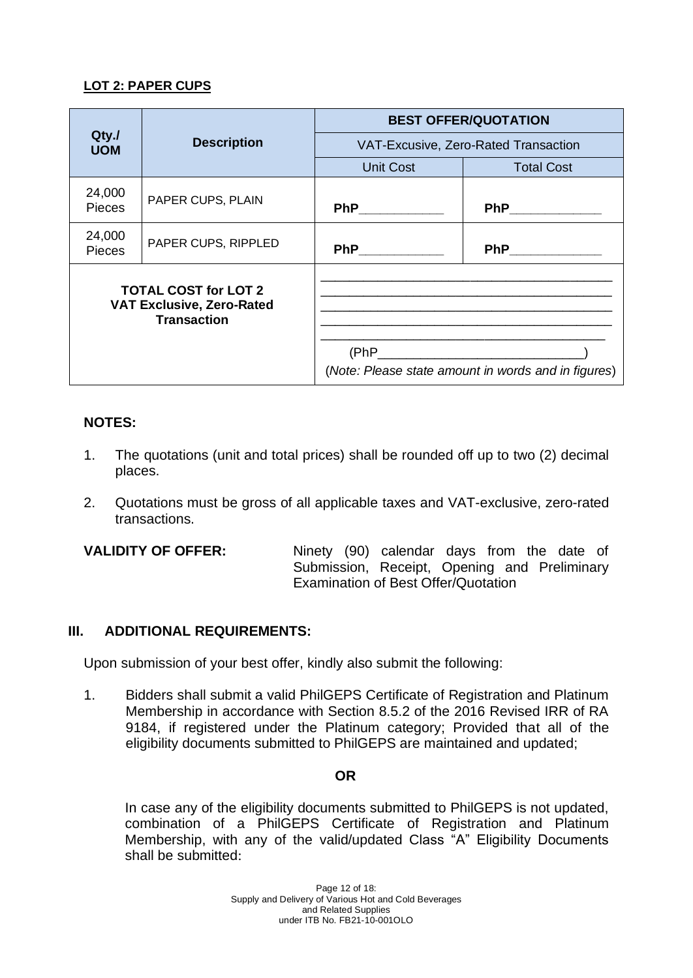## **LOT 2: PAPER CUPS**

|                                                                                       |                     | <b>BEST OFFER/QUOTATION</b> |                                                                                                                                                                                                                                     |  |  |
|---------------------------------------------------------------------------------------|---------------------|-----------------------------|-------------------------------------------------------------------------------------------------------------------------------------------------------------------------------------------------------------------------------------|--|--|
| Qty./<br><b>UOM</b>                                                                   | <b>Description</b>  |                             | VAT-Excusive, Zero-Rated Transaction                                                                                                                                                                                                |  |  |
|                                                                                       |                     | <b>Unit Cost</b>            | <b>Total Cost</b>                                                                                                                                                                                                                   |  |  |
| 24,000<br><b>Pieces</b>                                                               | PAPER CUPS, PLAIN   | PhP_____________            | <b>PhP</b> Phillips and the same of the same of the same of the same of the same of the same of the same of the same of the same of the same of the same of the same of the same of the same of the same of the same of the same of |  |  |
| 24,000<br><b>Pieces</b>                                                               | PAPER CUPS, RIPPLED |                             | PhP_____________                                                                                                                                                                                                                    |  |  |
| <b>TOTAL COST for LOT 2</b><br><b>VAT Exclusive, Zero-Rated</b><br><b>Transaction</b> |                     |                             | (Note: Please state amount in words and in figures)                                                                                                                                                                                 |  |  |

## **NOTES:**

- 1. The quotations (unit and total prices) shall be rounded off up to two (2) decimal places.
- 2. Quotations must be gross of all applicable taxes and VAT-exclusive, zero-rated transactions.

**VALIDITY OF OFFER:** Ninety (90) calendar days from the date of Submission, Receipt, Opening and Preliminary Examination of Best Offer/Quotation

## **III. ADDITIONAL REQUIREMENTS:**

Upon submission of your best offer, kindly also submit the following:

1. Bidders shall submit a valid PhilGEPS Certificate of Registration and Platinum Membership in accordance with Section 8.5.2 of the 2016 Revised IRR of RA 9184, if registered under the Platinum category; Provided that all of the eligibility documents submitted to PhilGEPS are maintained and updated;

#### **OR**

In case any of the eligibility documents submitted to PhilGEPS is not updated, combination of a PhilGEPS Certificate of Registration and Platinum Membership, with any of the valid/updated Class "A" Eligibility Documents shall be submitted: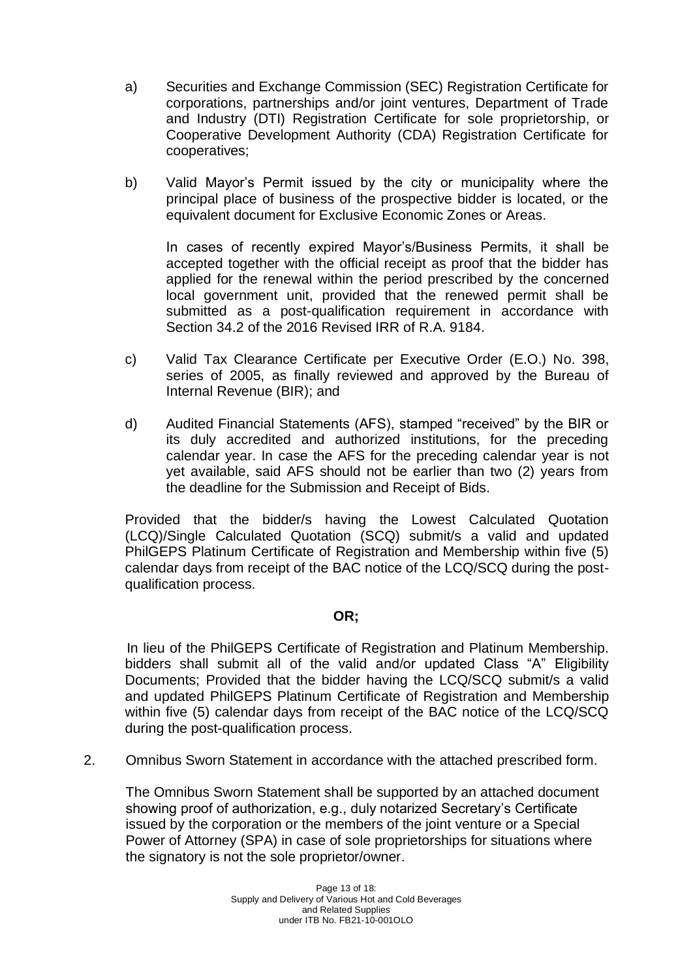- a) Securities and Exchange Commission (SEC) Registration Certificate for corporations, partnerships and/or joint ventures, Department of Trade and Industry (DTI) Registration Certificate for sole proprietorship, or Cooperative Development Authority (CDA) Registration Certificate for cooperatives;
- b) Valid Mayor's Permit issued by the city or municipality where the principal place of business of the prospective bidder is located, or the equivalent document for Exclusive Economic Zones or Areas.

In cases of recently expired Mayor's/Business Permits, it shall be accepted together with the official receipt as proof that the bidder has applied for the renewal within the period prescribed by the concerned local government unit, provided that the renewed permit shall be submitted as a post-qualification requirement in accordance with Section 34.2 of the 2016 Revised IRR of R.A. 9184.

- c) Valid Tax Clearance Certificate per Executive Order (E.O.) No. 398, series of 2005, as finally reviewed and approved by the Bureau of Internal Revenue (BIR); and
- d) Audited Financial Statements (AFS), stamped "received" by the BIR or its duly accredited and authorized institutions, for the preceding calendar year. In case the AFS for the preceding calendar year is not yet available, said AFS should not be earlier than two (2) years from the deadline for the Submission and Receipt of Bids.

Provided that the bidder/s having the Lowest Calculated Quotation (LCQ)/Single Calculated Quotation (SCQ) submit/s a valid and updated PhilGEPS Platinum Certificate of Registration and Membership within five (5) calendar days from receipt of the BAC notice of the LCQ/SCQ during the postqualification process.

#### **OR;**

 In lieu of the PhilGEPS Certificate of Registration and Platinum Membership. bidders shall submit all of the valid and/or updated Class "A" Eligibility Documents; Provided that the bidder having the LCQ/SCQ submit/s a valid and updated PhilGEPS Platinum Certificate of Registration and Membership within five (5) calendar days from receipt of the BAC notice of the LCQ/SCQ during the post-qualification process.

2. Omnibus Sworn Statement in accordance with the attached prescribed form.

The Omnibus Sworn Statement shall be supported by an attached document showing proof of authorization, e.g., duly notarized Secretary's Certificate issued by the corporation or the members of the joint venture or a Special Power of Attorney (SPA) in case of sole proprietorships for situations where the signatory is not the sole proprietor/owner.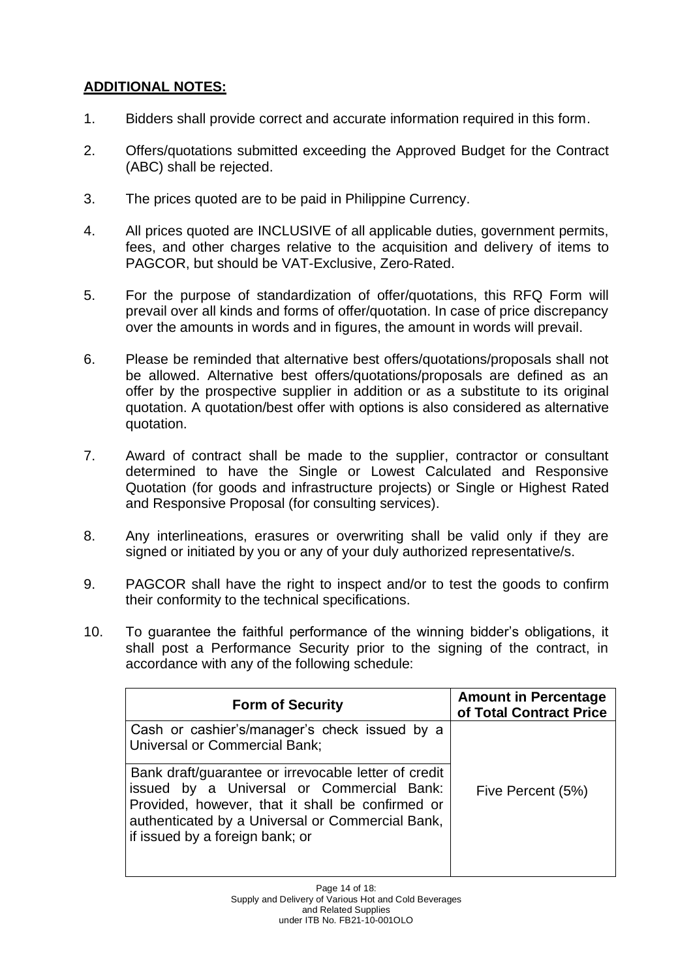## **ADDITIONAL NOTES:**

- 1. Bidders shall provide correct and accurate information required in this form.
- 2. Offers/quotations submitted exceeding the Approved Budget for the Contract (ABC) shall be rejected.
- 3. The prices quoted are to be paid in Philippine Currency.
- 4. All prices quoted are INCLUSIVE of all applicable duties, government permits, fees, and other charges relative to the acquisition and delivery of items to PAGCOR, but should be VAT-Exclusive, Zero-Rated.
- 5. For the purpose of standardization of offer/quotations, this RFQ Form will prevail over all kinds and forms of offer/quotation. In case of price discrepancy over the amounts in words and in figures, the amount in words will prevail.
- 6. Please be reminded that alternative best offers/quotations/proposals shall not be allowed. Alternative best offers/quotations/proposals are defined as an offer by the prospective supplier in addition or as a substitute to its original quotation. A quotation/best offer with options is also considered as alternative quotation.
- 7. Award of contract shall be made to the supplier, contractor or consultant determined to have the Single or Lowest Calculated and Responsive Quotation (for goods and infrastructure projects) or Single or Highest Rated and Responsive Proposal (for consulting services).
- 8. Any interlineations, erasures or overwriting shall be valid only if they are signed or initiated by you or any of your duly authorized representative/s.
- 9. PAGCOR shall have the right to inspect and/or to test the goods to confirm their conformity to the technical specifications.
- 10. To guarantee the faithful performance of the winning bidder's obligations, it shall post a Performance Security prior to the signing of the contract, in accordance with any of the following schedule:

| <b>Form of Security</b>                                                                                                                                                                                                                      | <b>Amount in Percentage</b><br>of Total Contract Price |
|----------------------------------------------------------------------------------------------------------------------------------------------------------------------------------------------------------------------------------------------|--------------------------------------------------------|
| Cash or cashier's/manager's check issued by a<br><b>Universal or Commercial Bank;</b>                                                                                                                                                        |                                                        |
| Bank draft/guarantee or irrevocable letter of credit<br>issued by a Universal or Commercial Bank:<br>Provided, however, that it shall be confirmed or<br>authenticated by a Universal or Commercial Bank,<br>if issued by a foreign bank; or | Five Percent (5%)                                      |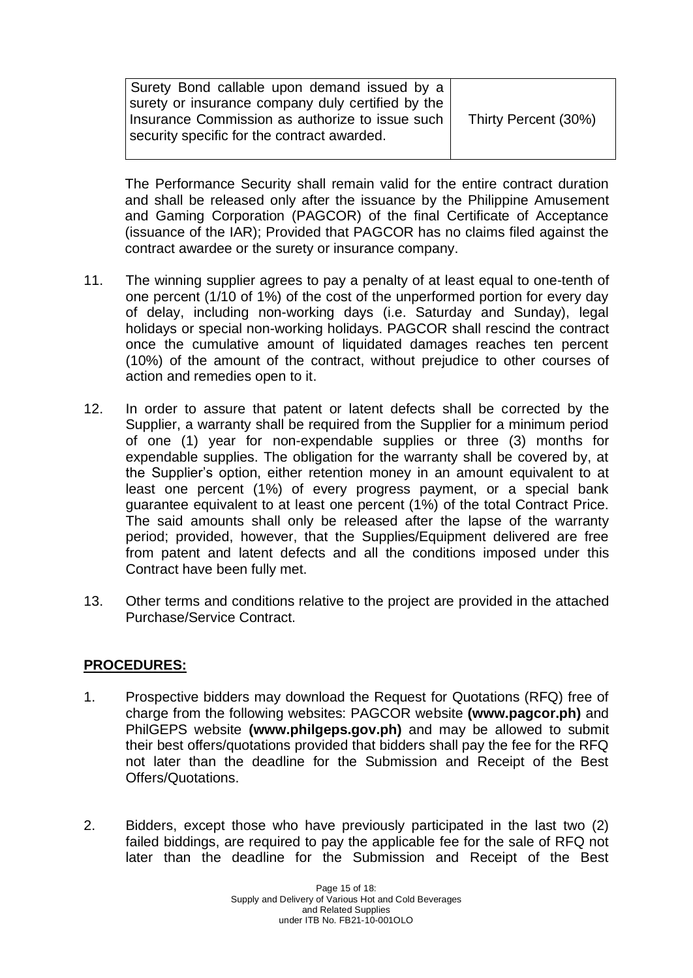| Surety Bond callable upon demand issued by a      |                      |
|---------------------------------------------------|----------------------|
|                                                   |                      |
| surety or insurance company duly certified by the |                      |
|                                                   |                      |
| Insurance Commission as authorize to issue such I | Thirty Percent (30%) |
|                                                   |                      |
|                                                   |                      |
| security specific for the contract awarded.       |                      |
|                                                   |                      |
|                                                   |                      |

The Performance Security shall remain valid for the entire contract duration and shall be released only after the issuance by the Philippine Amusement and Gaming Corporation (PAGCOR) of the final Certificate of Acceptance (issuance of the IAR); Provided that PAGCOR has no claims filed against the contract awardee or the surety or insurance company.

- 11. The winning supplier agrees to pay a penalty of at least equal to one-tenth of one percent (1/10 of 1%) of the cost of the unperformed portion for every day of delay, including non-working days (i.e. Saturday and Sunday), legal holidays or special non-working holidays. PAGCOR shall rescind the contract once the cumulative amount of liquidated damages reaches ten percent (10%) of the amount of the contract, without prejudice to other courses of action and remedies open to it.
- 12. In order to assure that patent or latent defects shall be corrected by the Supplier, a warranty shall be required from the Supplier for a minimum period of one (1) year for non-expendable supplies or three (3) months for expendable supplies. The obligation for the warranty shall be covered by, at the Supplier's option, either retention money in an amount equivalent to at least one percent (1%) of every progress payment, or a special bank guarantee equivalent to at least one percent (1%) of the total Contract Price. The said amounts shall only be released after the lapse of the warranty period; provided, however, that the Supplies/Equipment delivered are free from patent and latent defects and all the conditions imposed under this Contract have been fully met.
- 13. Other terms and conditions relative to the project are provided in the attached Purchase/Service Contract.

#### **PROCEDURES:**

- 1. Prospective bidders may download the Request for Quotations (RFQ) free of charge from the following websites: PAGCOR website **(www.pagcor.ph)** and PhilGEPS website **(www.philgeps.gov.ph)** and may be allowed to submit their best offers/quotations provided that bidders shall pay the fee for the RFQ not later than the deadline for the Submission and Receipt of the Best Offers/Quotations.
- 2. Bidders, except those who have previously participated in the last two (2) failed biddings, are required to pay the applicable fee for the sale of RFQ not later than the deadline for the Submission and Receipt of the Best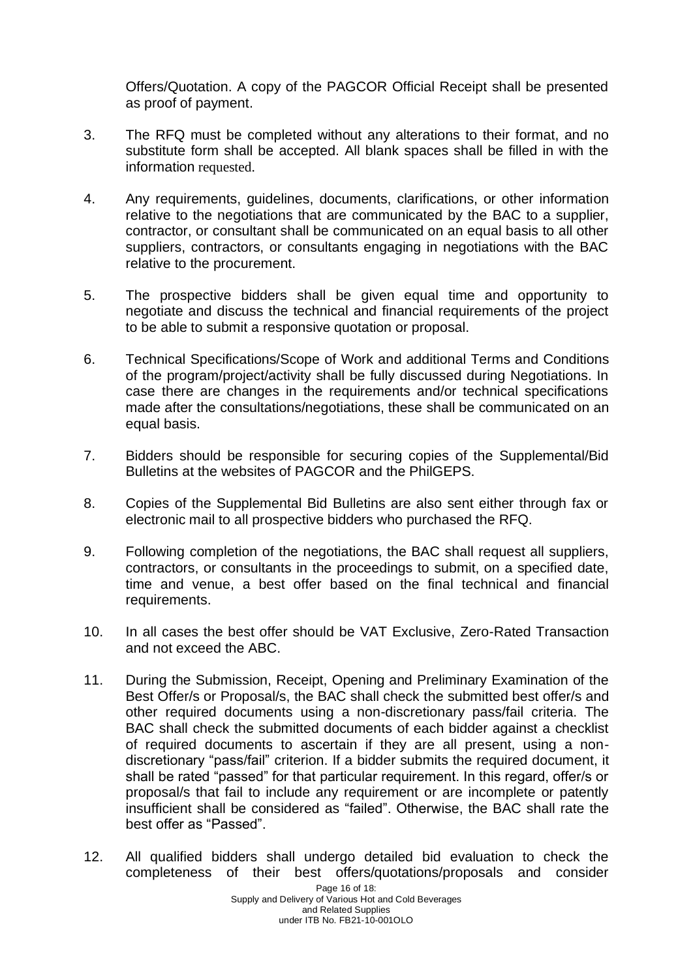Offers/Quotation. A copy of the PAGCOR Official Receipt shall be presented as proof of payment.

- 3. The RFQ must be completed without any alterations to their format, and no substitute form shall be accepted. All blank spaces shall be filled in with the information requested.
- 4. Any requirements, guidelines, documents, clarifications, or other information relative to the negotiations that are communicated by the BAC to a supplier, contractor, or consultant shall be communicated on an equal basis to all other suppliers, contractors, or consultants engaging in negotiations with the BAC relative to the procurement.
- 5. The prospective bidders shall be given equal time and opportunity to negotiate and discuss the technical and financial requirements of the project to be able to submit a responsive quotation or proposal.
- 6. Technical Specifications/Scope of Work and additional Terms and Conditions of the program/project/activity shall be fully discussed during Negotiations. In case there are changes in the requirements and/or technical specifications made after the consultations/negotiations, these shall be communicated on an equal basis.
- 7. Bidders should be responsible for securing copies of the Supplemental/Bid Bulletins at the websites of PAGCOR and the PhilGEPS.
- 8. Copies of the Supplemental Bid Bulletins are also sent either through fax or electronic mail to all prospective bidders who purchased the RFQ.
- 9. Following completion of the negotiations, the BAC shall request all suppliers, contractors, or consultants in the proceedings to submit, on a specified date, time and venue, a best offer based on the final technical and financial requirements.
- 10. In all cases the best offer should be VAT Exclusive, Zero-Rated Transaction and not exceed the ABC.
- 11. During the Submission, Receipt, Opening and Preliminary Examination of the Best Offer/s or Proposal/s, the BAC shall check the submitted best offer/s and other required documents using a non-discretionary pass/fail criteria. The BAC shall check the submitted documents of each bidder against a checklist of required documents to ascertain if they are all present, using a nondiscretionary "pass/fail" criterion. If a bidder submits the required document, it shall be rated "passed" for that particular requirement. In this regard, offer/s or proposal/s that fail to include any requirement or are incomplete or patently insufficient shall be considered as "failed". Otherwise, the BAC shall rate the best offer as "Passed".
- 12. All qualified bidders shall undergo detailed bid evaluation to check the completeness of their best offers/quotations/proposals and consider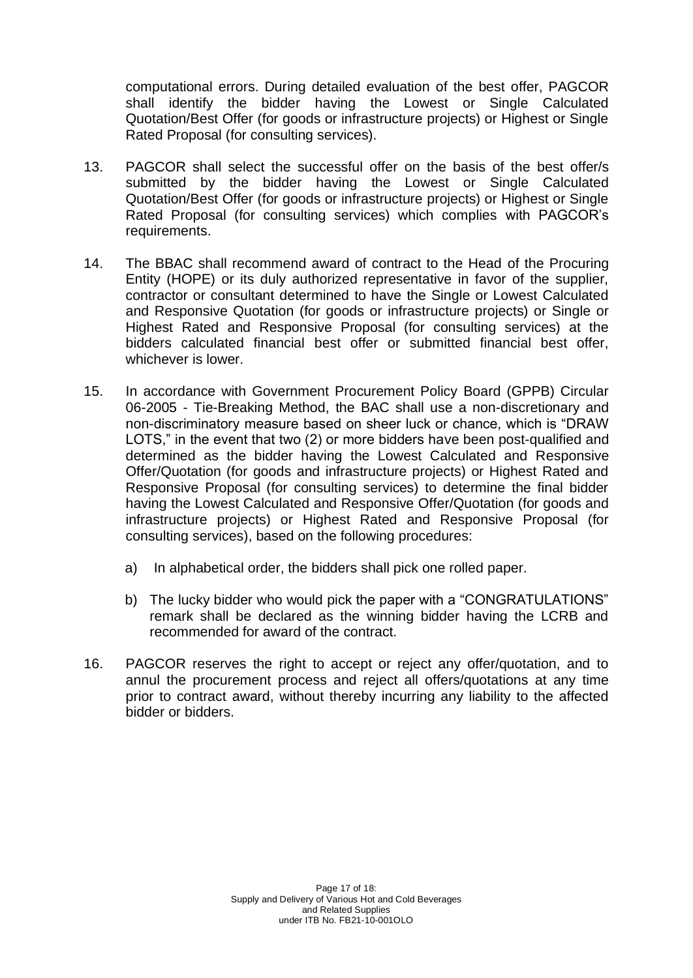computational errors. During detailed evaluation of the best offer, PAGCOR shall identify the bidder having the Lowest or Single Calculated Quotation/Best Offer (for goods or infrastructure projects) or Highest or Single Rated Proposal (for consulting services).

- 13. PAGCOR shall select the successful offer on the basis of the best offer/s submitted by the bidder having the Lowest or Single Calculated Quotation/Best Offer (for goods or infrastructure projects) or Highest or Single Rated Proposal (for consulting services) which complies with PAGCOR's requirements.
- 14. The BBAC shall recommend award of contract to the Head of the Procuring Entity (HOPE) or its duly authorized representative in favor of the supplier, contractor or consultant determined to have the Single or Lowest Calculated and Responsive Quotation (for goods or infrastructure projects) or Single or Highest Rated and Responsive Proposal (for consulting services) at the bidders calculated financial best offer or submitted financial best offer, whichever is lower.
- 15. In accordance with Government Procurement Policy Board (GPPB) Circular 06-2005 - Tie-Breaking Method, the BAC shall use a non-discretionary and non-discriminatory measure based on sheer luck or chance, which is "DRAW LOTS," in the event that two (2) or more bidders have been post-qualified and determined as the bidder having the Lowest Calculated and Responsive Offer/Quotation (for goods and infrastructure projects) or Highest Rated and Responsive Proposal (for consulting services) to determine the final bidder having the Lowest Calculated and Responsive Offer/Quotation (for goods and infrastructure projects) or Highest Rated and Responsive Proposal (for consulting services), based on the following procedures:
	- a) In alphabetical order, the bidders shall pick one rolled paper.
	- b) The lucky bidder who would pick the paper with a "CONGRATULATIONS" remark shall be declared as the winning bidder having the LCRB and recommended for award of the contract.
- 16. PAGCOR reserves the right to accept or reject any offer/quotation, and to annul the procurement process and reject all offers/quotations at any time prior to contract award, without thereby incurring any liability to the affected bidder or bidders.